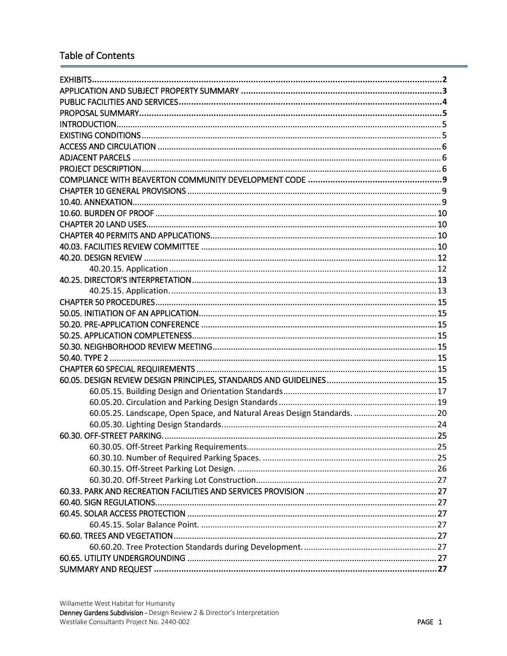# **Table of Contents**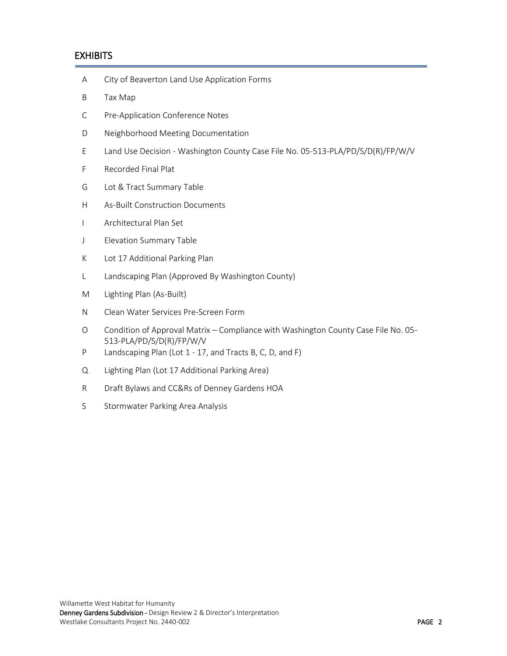# <span id="page-1-0"></span>**EXHIBITS**

I

- A City of Beaverton Land Use Application Forms
- B Tax Map
- C Pre-Application Conference Notes
- D Neighborhood Meeting Documentation
- E Land Use Decision Washington County Case File No. 05-513-PLA/PD/S/D(R)/FP/W/V
- F Recorded Final Plat
- G Lot & Tract Summary Table
- H As-Built Construction Documents
- I Architectural Plan Set
- J Elevation Summary Table
- K Lot 17 Additional Parking Plan
- L Landscaping Plan (Approved By Washington County)
- M Lighting Plan (As-Built)
- N Clean Water Services Pre-Screen Form
- O Condition of Approval Matrix Compliance with Washington County Case File No. 05- 513-PLA/PD/S/D(R)/FP/W/V
- P Landscaping Plan (Lot 1 17, and Tracts B, C, D, and F)
- Q Lighting Plan (Lot 17 Additional Parking Area)
- R Draft Bylaws and CC&Rs of Denney Gardens HOA
- <span id="page-1-1"></span>S Stormwater Parking Area Analysis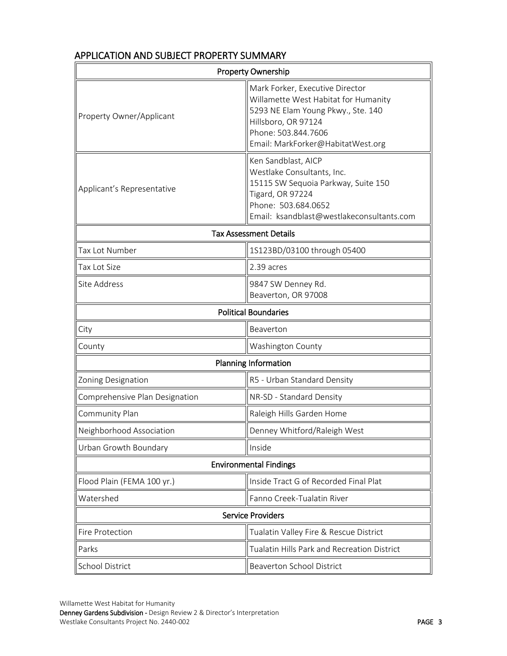| <b>Property Ownership</b>      |                                                                                                                                                                                                  |  |  |
|--------------------------------|--------------------------------------------------------------------------------------------------------------------------------------------------------------------------------------------------|--|--|
| Property Owner/Applicant       | Mark Forker, Executive Director<br>Willamette West Habitat for Humanity<br>5293 NE Elam Young Pkwy., Ste. 140<br>Hillsboro, OR 97124<br>Phone: 503.844.7606<br>Email: MarkForker@HabitatWest.org |  |  |
| Applicant's Representative     | Ken Sandblast, AICP<br>Westlake Consultants, Inc.<br>15115 SW Sequoia Parkway, Suite 150<br>Tigard, OR 97224<br>Phone: 503.684.0652<br>Email: ksandblast@westlakeconsultants.com                 |  |  |
| <b>Tax Assessment Details</b>  |                                                                                                                                                                                                  |  |  |
| Tax Lot Number                 | 1S123BD/03100 through 05400                                                                                                                                                                      |  |  |
| <b>Tax Lot Size</b>            | 2.39 acres                                                                                                                                                                                       |  |  |
| Site Address                   | 9847 SW Denney Rd.<br>Beaverton, OR 97008                                                                                                                                                        |  |  |
|                                | <b>Political Boundaries</b>                                                                                                                                                                      |  |  |
| City                           | Beaverton                                                                                                                                                                                        |  |  |
| County                         | Washington County                                                                                                                                                                                |  |  |
| Planning Information           |                                                                                                                                                                                                  |  |  |
| Zoning Designation             | R5 - Urban Standard Density                                                                                                                                                                      |  |  |
| Comprehensive Plan Designation | NR-SD - Standard Density                                                                                                                                                                         |  |  |
| Community Plan                 | Raleigh Hills Garden Home                                                                                                                                                                        |  |  |
| Neighborhood Association       | Denney Whitford/Raleigh West                                                                                                                                                                     |  |  |
| Urban Growth Boundary          | Inside                                                                                                                                                                                           |  |  |
|                                | <b>Environmental Findings</b>                                                                                                                                                                    |  |  |
| Flood Plain (FEMA 100 yr.)     | Inside Tract G of Recorded Final Plat                                                                                                                                                            |  |  |
| Watershed                      | Fanno Creek-Tualatin River                                                                                                                                                                       |  |  |
|                                | <b>Service Providers</b>                                                                                                                                                                         |  |  |
| Fire Protection                | Tualatin Valley Fire & Rescue District                                                                                                                                                           |  |  |
| Parks                          | Tualatin Hills Park and Recreation District                                                                                                                                                      |  |  |
| School District                | <b>Beaverton School District</b>                                                                                                                                                                 |  |  |

# APPLICATION AND SUBJECT PROPERTY SUMMARY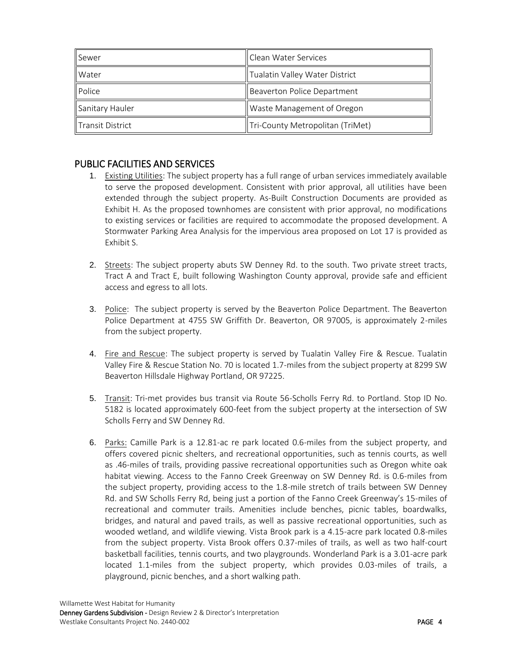| Sewer            | Clean Water Services             |
|------------------|----------------------------------|
| Water            | Tualatin Valley Water District   |
| Police           | Beaverton Police Department      |
| Sanitary Hauler  | Waste Management of Oregon       |
| Transit District | Tri-County Metropolitan (TriMet) |

# <span id="page-3-0"></span>PUBLIC FACILITIES AND SERVICES

- 1. Existing Utilities: The subject property has a full range of urban services immediately available to serve the proposed development. Consistent with prior approval, all utilities have been extended through the subject property. As-Built Construction Documents are provided as Exhibit H. As the proposed townhomes are consistent with prior approval, no modifications to existing services or facilities are required to accommodate the proposed development. A Stormwater Parking Area Analysis for the impervious area proposed on Lot 17 is provided as Exhibit S.
- 2. Streets: The subject property abuts SW Denney Rd. to the south. Two private street tracts, Tract A and Tract E, built following Washington County approval, provide safe and efficient access and egress to all lots.
- 3. Police: The subject property is served by the Beaverton Police Department. The Beaverton Police Department at 4755 SW Griffith Dr. Beaverton, OR 97005, is approximately 2-miles from the subject property.
- 4. Fire and Rescue: The subject property is served by Tualatin Valley Fire & Rescue. Tualatin Valley Fire & Rescue Station No. 70 is located 1.7-miles from the subject property at 8299 SW Beaverton Hillsdale Highway Portland, OR 97225.
- 5. Transit: Tri-met provides bus transit via Route 56-Scholls Ferry Rd. to Portland. Stop ID No. 5182 is located approximately 600-feet from the subject property at the intersection of SW Scholls Ferry and SW Denney Rd.
- 6. Parks: Camille Park is a 12.81-ac re park located 0.6-miles from the subject property, and offers covered picnic shelters, and recreational opportunities, such as tennis courts, as well as .46-miles of trails, providing passive recreational opportunities such as Oregon white oak habitat viewing. Access to the Fanno Creek Greenway on SW Denney Rd. is 0.6-miles from the subject property, providing access to the 1.8-mile stretch of trails between SW Denney Rd. and SW Scholls Ferry Rd, being just a portion of the Fanno Creek Greenway's 15-miles of recreational and commuter trails. Amenities include benches, picnic tables, boardwalks, bridges, and natural and paved trails, as well as passive recreational opportunities, such as wooded wetland, and wildlife viewing. Vista Brook park is a 4.15-acre park located 0.8-miles from the subject property. Vista Brook offers 0.37-miles of trails, as well as two half-court basketball facilities, tennis courts, and two playgrounds. Wonderland Park is a 3.01-acre park located 1.1-miles from the subject property, which provides 0.03-miles of trails, a playground, picnic benches, and a short walking path.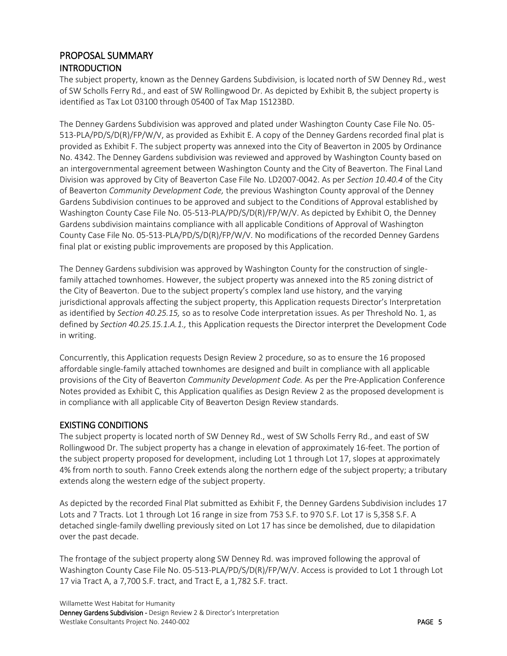# <span id="page-4-1"></span><span id="page-4-0"></span>PROPOSAL SUMMARY **INTRODUCTION**

The subject property, known as the Denney Gardens Subdivision, is located north of SW Denney Rd., west of SW Scholls Ferry Rd., and east of SW Rollingwood Dr. As depicted by Exhibit B, the subject property is identified as Tax Lot 03100 through 05400 of Tax Map 1S123BD.

The Denney Gardens Subdivision was approved and plated under Washington County Case File No. 05- 513-PLA/PD/S/D(R)/FP/W/V, as provided as Exhibit E. A copy of the Denney Gardens recorded final plat is provided as Exhibit F. The subject property was annexed into the City of Beaverton in 2005 by Ordinance No. 4342. The Denney Gardens subdivision was reviewed and approved by Washington County based on an intergovernmental agreement between Washington County and the City of Beaverton. The Final Land Division was approved by City of Beaverton Case File No. LD2007-0042. As per *Section 10.40.4* of the City of Beaverton *Community Development Code,* the previous Washington County approval of the Denney Gardens Subdivision continues to be approved and subject to the Conditions of Approval established by Washington County Case File No. 05-513-PLA/PD/S/D(R)/FP/W/V. As depicted by Exhibit O, the Denney Gardens subdivision maintains compliance with all applicable Conditions of Approval of Washington County Case File No. 05-513-PLA/PD/S/D(R)/FP/W/V. No modifications of the recorded Denney Gardens final plat or existing public improvements are proposed by this Application.

The Denney Gardens subdivision was approved by Washington County for the construction of singlefamily attached townhomes. However, the subject property was annexed into the R5 zoning district of the City of Beaverton. Due to the subject property's complex land use history, and the varying jurisdictional approvals affecting the subject property, this Application requests Director's Interpretation as identified by *Section 40.25.15,* so as to resolve Code interpretation issues. As per Threshold No. 1, as defined by *Section 40.25.15.1.A.1.,* this Application requests the Director interpret the Development Code in writing.

Concurrently, this Application requests Design Review 2 procedure, so as to ensure the 16 proposed affordable single-family attached townhomes are designed and built in compliance with all applicable provisions of the City of Beaverton *Community Development Code.* As per the Pre-Application Conference Notes provided as Exhibit C, this Application qualifies as Design Review 2 as the proposed development is in compliance with all applicable City of Beaverton Design Review standards.

# <span id="page-4-2"></span>EXISTING CONDITIONS

The subject property is located north of SW Denney Rd., west of SW Scholls Ferry Rd., and east of SW Rollingwood Dr. The subject property has a change in elevation of approximately 16-feet. The portion of the subject property proposed for development, including Lot 1 through Lot 17, slopes at approximately 4% from north to south. Fanno Creek extends along the northern edge of the subject property; a tributary extends along the western edge of the subject property.

As depicted by the recorded Final Plat submitted as Exhibit F, the Denney Gardens Subdivision includes 17 Lots and 7 Tracts. Lot 1 through Lot 16 range in size from 753 S.F. to 970 S.F. Lot 17 is 5,358 S.F. A detached single-family dwelling previously sited on Lot 17 has since be demolished, due to dilapidation over the past decade.

The frontage of the subject property along SW Denney Rd. was improved following the approval of Washington County Case File No. 05-513-PLA/PD/S/D(R)/FP/W/V. Access is provided to Lot 1 through Lot 17 via Tract A, a 7,700 S.F. tract, and Tract E, a 1,782 S.F. tract.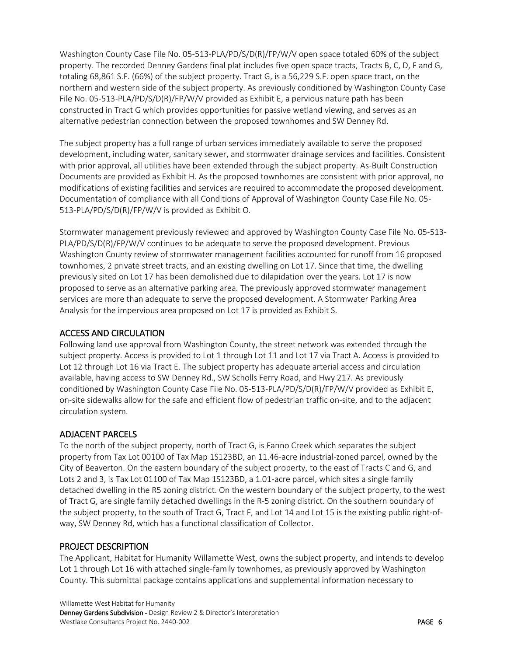Washington County Case File No. 05-513-PLA/PD/S/D(R)/FP/W/V open space totaled 60% of the subject property. The recorded Denney Gardens final plat includes five open space tracts, Tracts B, C, D, F and G, totaling 68,861 S.F. (66%) of the subject property. Tract G, is a 56,229 S.F. open space tract, on the northern and western side of the subject property. As previously conditioned by Washington County Case File No. 05-513-PLA/PD/S/D(R)/FP/W/V provided as Exhibit E, a pervious nature path has been constructed in Tract G which provides opportunities for passive wetland viewing, and serves as an alternative pedestrian connection between the proposed townhomes and SW Denney Rd.

The subject property has a full range of urban services immediately available to serve the proposed development, including water, sanitary sewer, and stormwater drainage services and facilities. Consistent with prior approval, all utilities have been extended through the subject property. As-Built Construction Documents are provided as Exhibit H. As the proposed townhomes are consistent with prior approval, no modifications of existing facilities and services are required to accommodate the proposed development. Documentation of compliance with all Conditions of Approval of Washington County Case File No. 05- 513-PLA/PD/S/D(R)/FP/W/V is provided as Exhibit O.

Stormwater management previously reviewed and approved by Washington County Case File No. 05-513- PLA/PD/S/D(R)/FP/W/V continues to be adequate to serve the proposed development. Previous Washington County review of stormwater management facilities accounted for runoff from 16 proposed townhomes, 2 private street tracts, and an existing dwelling on Lot 17. Since that time, the dwelling previously sited on Lot 17 has been demolished due to dilapidation over the years. Lot 17 is now proposed to serve as an alternative parking area. The previously approved stormwater management services are more than adequate to serve the proposed development. A Stormwater Parking Area Analysis for the impervious area proposed on Lot 17 is provided as Exhibit S.

# <span id="page-5-0"></span>ACCESS AND CIRCULATION

Following land use approval from Washington County, the street network was extended through the subject property. Access is provided to Lot 1 through Lot 11 and Lot 17 via Tract A. Access is provided to Lot 12 through Lot 16 via Tract E. The subject property has adequate arterial access and circulation available, having access to SW Denney Rd., SW Scholls Ferry Road, and Hwy 217. As previously conditioned by Washington County Case File No. 05-513-PLA/PD/S/D(R)/FP/W/V provided as Exhibit E, on-site sidewalks allow for the safe and efficient flow of pedestrian traffic on-site, and to the adjacent circulation system.

# <span id="page-5-1"></span>ADJACENT PARCELS

To the north of the subject property, north of Tract G, is Fanno Creek which separates the subject property from Tax Lot 00100 of Tax Map 1S123BD, an 11.46-acre industrial-zoned parcel, owned by the City of Beaverton. On the eastern boundary of the subject property, to the east of Tracts C and G, and Lots 2 and 3, is Tax Lot 01100 of Tax Map 1S123BD, a 1.01-acre parcel, which sites a single family detached dwelling in the R5 zoning district. On the western boundary of the subject property, to the west of Tract G, are single family detached dwellings in the R-5 zoning district. On the southern boundary of the subject property, to the south of Tract G, Tract F, and Lot 14 and Lot 15 is the existing public right-ofway, SW Denney Rd, which has a functional classification of Collector.

# <span id="page-5-2"></span>PROJECT DESCRIPTION

The Applicant, Habitat for Humanity Willamette West, owns the subject property, and intends to develop Lot 1 through Lot 16 with attached single-family townhomes, as previously approved by Washington County. This submittal package contains applications and supplemental information necessary to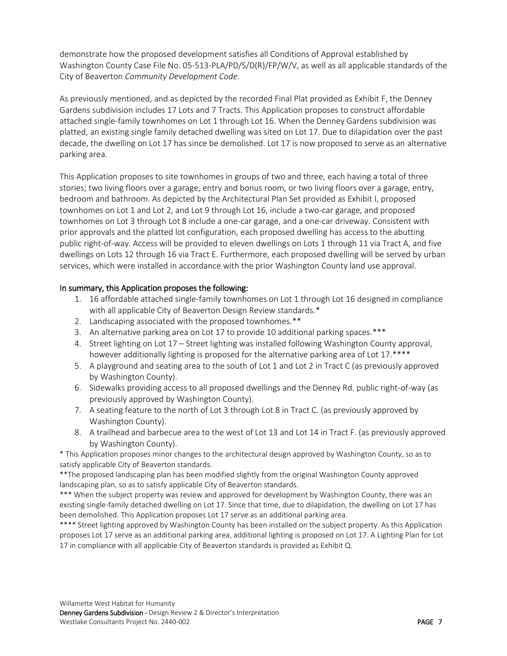demonstrate how the proposed development satisfies all Conditions of Approval established by Washington County Case File No. 05-513-PLA/PD/S/D(R)/FP/W/V, as well as all applicable standards of the City of Beaverton *Community Development Code*.

As previously mentioned, and as depicted by the recorded Final Plat provided as Exhibit F, the Denney Gardens subdivision includes 17 Lots and 7 Tracts. This Application proposes to construct affordable attached single-family townhomes on Lot 1 through Lot 16. When the Denney Gardens subdivision was platted, an existing single family detached dwelling was sited on Lot 17. Due to dilapidation over the past decade, the dwelling on Lot 17 has since be demolished. Lot 17 is now proposed to serve as an alternative parking area.

This Application proposes to site townhomes in groups of two and three, each having a total of three stories; two living floors over a garage, entry and bonus room, or two living floors over a garage, entry, bedroom and bathroom. As depicted by the Architectural Plan Set provided as Exhibit I, proposed townhomes on Lot 1 and Lot 2, and Lot 9 through Lot 16, include a two-car garage, and proposed townhomes on Lot 3 through Lot 8 include a one-car garage, and a one-car driveway. Consistent with prior approvals and the platted lot configuration, each proposed dwelling has access to the abutting public right-of-way. Access will be provided to eleven dwellings on Lots 1 through 11 via Tract A, and five dwellings on Lots 12 through 16 via Tract E. Furthermore, each proposed dwelling will be served by urban services, which were installed in accordance with the prior Washington County land use approval.

### In summary, this Application proposes the following:

- 1. 16 affordable attached single-family townhomes on Lot 1 through Lot 16 designed in compliance with all applicable City of Beaverton Design Review standards.\*
- 2. Landscaping associated with the proposed townhomes.\*\*
- 3. An alternative parking area on Lot 17 to provide 10 additional parking spaces.\*\*\*
- 4. Street lighting on Lot 17 Street lighting was installed following Washington County approval, however additionally lighting is proposed for the alternative parking area of Lot 17.\*\*\*\*
- 5. A playground and seating area to the south of Lot 1 and Lot 2 in Tract C (as previously approved by Washington County).
- 6. Sidewalks providing access to all proposed dwellings and the Denney Rd. public right-of-way (as previously approved by Washington County).
- 7. A seating feature to the north of Lot 3 through Lot 8 in Tract C. (as previously approved by Washington County).
- 8. A trailhead and barbecue area to the west of Lot 13 and Lot 14 in Tract F. (as previously approved by Washington County).

\* This Application proposes minor changes to the architectural design approved by Washington County, so as to satisfy applicable City of Beaverton standards.

\*\*The proposed landscaping plan has been modified slightly from the original Washington County approved landscaping plan, so as to satisfy applicable City of Beaverton standards.

\*\*\* When the subject property was review and approved for development by Washington County, there was an existing single-family detached dwelling on Lot 17. Since that time, due to dilapidation, the dwelling on Lot 17 has been demolished. This Application proposes Lot 17 serve as an additional parking area.

\*\*\*\* Street lighting approved by Washington County has been installed on the subject property. As this Application proposes Lot 17 serve as an additional parking area, additional lighting is proposed on Lot 17. A Lighting Plan for Lot 17 in compliance with all applicable City of Beaverton standards is provided as Exhibit Q.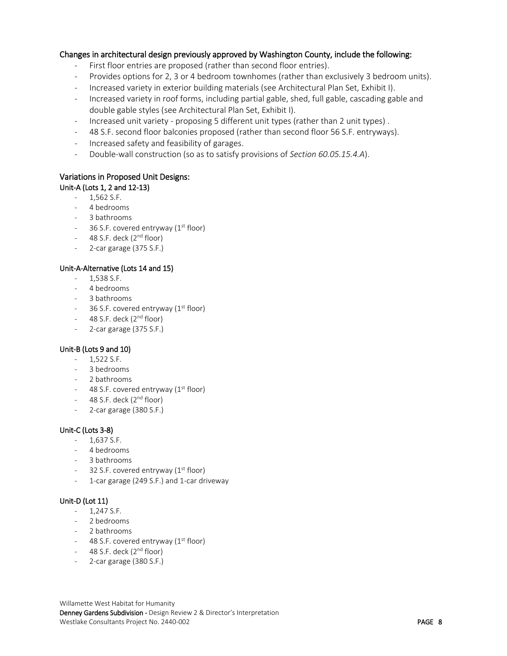#### Changes in architectural design previously approved by Washington County, include the following:

- First floor entries are proposed (rather than second floor entries).
- Provides options for 2, 3 or 4 bedroom townhomes (rather than exclusively 3 bedroom units).
- Increased variety in exterior building materials (see Architectural Plan Set, Exhibit I).
- Increased variety in roof forms, including partial gable, shed, full gable, cascading gable and double gable styles (see Architectural Plan Set, Exhibit I).
- Increased unit variety proposing 5 different unit types (rather than 2 unit types) .
- 48 S.F. second floor balconies proposed (rather than second floor 56 S.F. entryways).
- Increased safety and feasibility of garages.
- Double-wall construction (so as to satisfy provisions of *Section 60.05.15.4.A*).

# Variations in Proposed Unit Designs:

# Unit-A (Lots 1, 2 and 12-13)

- 1,562 S.F.
- 4 bedrooms
- 3 bathrooms
- $-$  36 S.F. covered entryway ( $1<sup>st</sup>$  floor)
- $-$  48 S.F. deck (2<sup>nd</sup> floor)
- 2-car garage (375 S.F.)

#### Unit-A-Alternative (Lots 14 and 15)

- 1,538 S.F.
- 4 bedrooms
- 3 bathrooms
- $-$  36 S.F. covered entryway ( $1<sup>st</sup>$  floor)
- $-$  48 S.F. deck ( $2<sup>nd</sup>$  floor)
- 2-car garage (375 S.F.)

#### Unit-B (Lots 9 and 10)

- 1,522 S.F.
- 3 bedrooms
- 2 bathrooms
- $-$  48 S.F. covered entryway ( $1<sup>st</sup>$  floor)
- $-$  48 S.F. deck ( $2<sup>nd</sup>$  floor)
- 2-car garage (380 S.F.)

#### Unit-C (Lots 3-8)

- 1,637 S.F.
- 4 bedrooms
- 3 bathrooms
- $-$  32 S.F. covered entryway ( $1<sup>st</sup>$  floor)
- 1-car garage (249 S.F.) and 1-car driveway

#### Unit-D (Lot 11)

- $1,247$  S.F.
- 2 bedrooms
- 2 bathrooms
- 48 S.F. covered entryway  $(1<sup>st</sup> floor)$
- $-$  48 S.F. deck ( $2<sup>nd</sup>$  floor)
- <span id="page-7-0"></span>- 2-car garage (380 S.F.)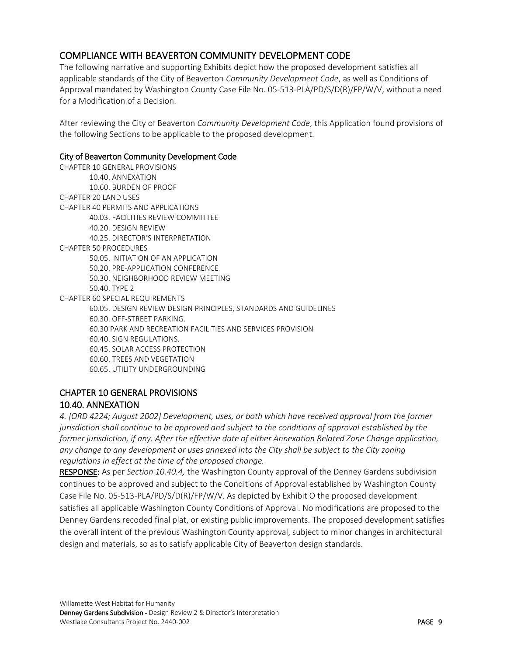# COMPLIANCE WITH BEAVERTON COMMUNITY DEVELOPMENT CODE

The following narrative and supporting Exhibits depict how the proposed development satisfies all applicable standards of the City of Beaverton *Community Development Code*, as well as Conditions of Approval mandated by Washington County Case File No. 05-513-PLA/PD/S/D(R)/FP/W/V, without a need for a Modification of a Decision.

After reviewing the City of Beaverton *Community Development Code*, this Application found provisions of the following Sections to be applicable to the proposed development.

#### City of Beaverton Community Development Code

CHAPTER 10 GENERAL PROVISIONS 10.40. ANNEXATION 10.60. BURDEN OF PROOF CHAPTER 20 LAND USES CHAPTER 40 PERMITS AND APPLICATIONS 40.03. FACILITIES REVIEW COMMITTEE 40.20. DESIGN REVIEW 40.25. DIRECTOR'S INTERPRETATION CHAPTER 50 PROCEDURES 50.05. INITIATION OF AN APPLICATION 50.20. PRE-APPLICATION CONFERENCE 50.30. NEIGHBORHOOD REVIEW MEETING 50.40. TYPE 2 CHAPTER 60 SPECIAL REQUIREMENTS 60.05. DESIGN REVIEW DESIGN PRINCIPLES, STANDARDS AND GUIDELINES 60.30. OFF-STREET PARKING. 60.30 PARK AND RECREATION FACILITIES AND SERVICES PROVISION 60.40. SIGN REGULATIONS. 60.45. SOLAR ACCESS PROTECTION 60.60. TREES AND VEGETATION 60.65. UTILITY UNDERGROUNDING

# <span id="page-8-1"></span><span id="page-8-0"></span>CHAPTER 10 GENERAL PROVISIONS 10.40. ANNEXATION

*4. [ORD 4224; August 2002] Development, uses, or both which have received approval from the former jurisdiction shall continue to be approved and subject to the conditions of approval established by the former jurisdiction, if any. After the effective date of either Annexation Related Zone Change application, any change to any development or uses annexed into the City shall be subject to the City zoning regulations in effect at the time of the proposed change.*

RESPONSE: As per *Section 10.40.4,* the Washington County approval of the Denney Gardens subdivision continues to be approved and subject to the Conditions of Approval established by Washington County Case File No. 05-513-PLA/PD/S/D(R)/FP/W/V. As depicted by Exhibit O the proposed development satisfies all applicable Washington County Conditions of Approval. No modifications are proposed to the Denney Gardens recoded final plat, or existing public improvements. The proposed development satisfies the overall intent of the previous Washington County approval, subject to minor changes in architectural design and materials, so as to satisfy applicable City of Beaverton design standards.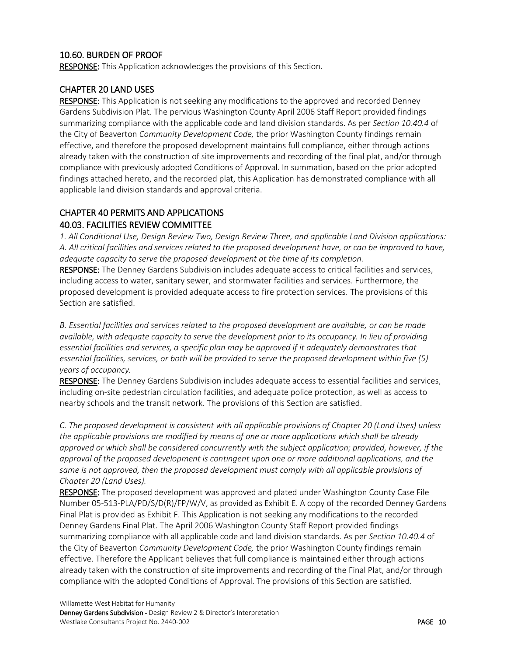# <span id="page-9-0"></span>10.60. BURDEN OF PROOF

RESPONSE: This Application acknowledges the provisions of this Section.

### <span id="page-9-1"></span>CHAPTER 20 LAND USES

RESPONSE: This Application is not seeking any modifications to the approved and recorded Denney Gardens Subdivision Plat. The pervious Washington County April 2006 Staff Report provided findings summarizing compliance with the applicable code and land division standards. As per *Section 10.40.4* of the City of Beaverton *Community Development Code,* the prior Washington County findings remain effective, and therefore the proposed development maintains full compliance, either through actions already taken with the construction of site improvements and recording of the final plat, and/or through compliance with previously adopted Conditions of Approval. In summation, based on the prior adopted findings attached hereto, and the recorded plat, this Application has demonstrated compliance with all applicable land division standards and approval criteria.

# <span id="page-9-3"></span><span id="page-9-2"></span>CHAPTER 40 PERMITS AND APPLICATIONS 40.03. FACILITIES REVIEW COMMITTEE

*1. All Conditional Use, Design Review Two, Design Review Three, and applicable Land Division applications: A. All critical facilities and services related to the proposed development have, or can be improved to have, adequate capacity to serve the proposed development at the time of its completion.*

RESPONSE: The Denney Gardens Subdivision includes adequate access to critical facilities and services, including access to water, sanitary sewer, and stormwater facilities and services. Furthermore, the proposed development is provided adequate access to fire protection services. The provisions of this Section are satisfied.

*B. Essential facilities and services related to the proposed development are available, or can be made available, with adequate capacity to serve the development prior to its occupancy. In lieu of providing essential facilities and services, a specific plan may be approved if it adequately demonstrates that essential facilities, services, or both will be provided to serve the proposed development within five (5) years of occupancy.*

RESPONSE: The Denney Gardens Subdivision includes adequate access to essential facilities and services, including on-site pedestrian circulation facilities, and adequate police protection, as well as access to nearby schools and the transit network. The provisions of this Section are satisfied.

*C. The proposed development is consistent with all applicable provisions of Chapter 20 (Land Uses) unless the applicable provisions are modified by means of one or more applications which shall be already approved or which shall be considered concurrently with the subject application; provided, however, if the approval of the proposed development is contingent upon one or more additional applications, and the same is not approved, then the proposed development must comply with all applicable provisions of Chapter 20 (Land Uses).*

RESPONSE: The proposed development was approved and plated under Washington County Case File Number 05-513-PLA/PD/S/D(R)/FP/W/V, as provided as Exhibit E. A copy of the recorded Denney Gardens Final Plat is provided as Exhibit F. This Application is not seeking any modifications to the recorded Denney Gardens Final Plat. The April 2006 Washington County Staff Report provided findings summarizing compliance with all applicable code and land division standards. As per *Section 10.40.4* of the City of Beaverton *Community Development Code,* the prior Washington County findings remain effective. Therefore the Applicant believes that full compliance is maintained either through actions already taken with the construction of site improvements and recording of the Final Plat, and/or through compliance with the adopted Conditions of Approval. The provisions of this Section are satisfied.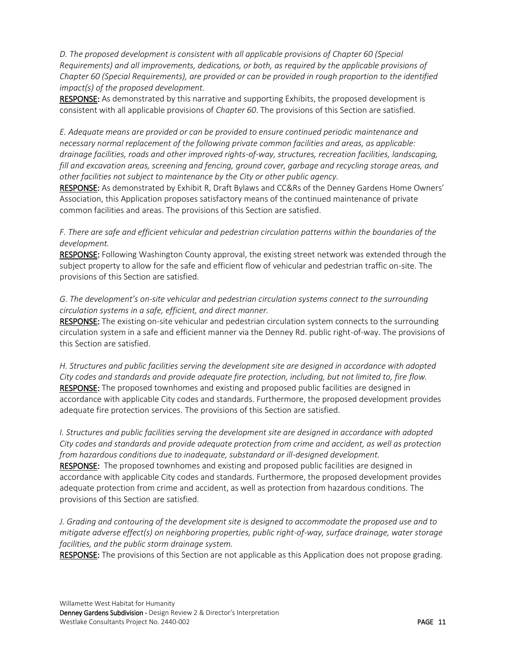*D. The proposed development is consistent with all applicable provisions of Chapter 60 (Special Requirements) and all improvements, dedications, or both, as required by the applicable provisions of Chapter 60 (Special Requirements), are provided or can be provided in rough proportion to the identified impact(s) of the proposed development.*

RESPONSE: As demonstrated by this narrative and supporting Exhibits, the proposed development is consistent with all applicable provisions of *Chapter 60*. The provisions of this Section are satisfied.

*E. Adequate means are provided or can be provided to ensure continued periodic maintenance and necessary normal replacement of the following private common facilities and areas, as applicable: drainage facilities, roads and other improved rights-of-way, structures, recreation facilities, landscaping, fill and excavation areas, screening and fencing, ground cover, garbage and recycling storage areas, and other facilities not subject to maintenance by the City or other public agency.*

RESPONSE: As demonstrated by Exhibit R, Draft Bylaws and CC&Rs of the Denney Gardens Home Owners' Association, this Application proposes satisfactory means of the continued maintenance of private common facilities and areas. The provisions of this Section are satisfied.

*F. There are safe and efficient vehicular and pedestrian circulation patterns within the boundaries of the development.*

RESPONSE: Following Washington County approval, the existing street network was extended through the subject property to allow for the safe and efficient flow of vehicular and pedestrian traffic on-site. The provisions of this Section are satisfied.

## *G. The development's on-site vehicular and pedestrian circulation systems connect to the surrounding circulation systems in a safe, efficient, and direct manner.*

RESPONSE: The existing on-site vehicular and pedestrian circulation system connects to the surrounding circulation system in a safe and efficient manner via the Denney Rd. public right-of-way. The provisions of this Section are satisfied.

*H. Structures and public facilities serving the development site are designed in accordance with adopted City codes and standards and provide adequate fire protection, including, but not limited to, fire flow.* RESPONSE: The proposed townhomes and existing and proposed public facilities are designed in accordance with applicable City codes and standards. Furthermore, the proposed development provides adequate fire protection services. The provisions of this Section are satisfied.

*I. Structures and public facilities serving the development site are designed in accordance with adopted City codes and standards and provide adequate protection from crime and accident, as well as protection from hazardous conditions due to inadequate, substandard or ill-designed development.* RESPONSE: The proposed townhomes and existing and proposed public facilities are designed in accordance with applicable City codes and standards. Furthermore, the proposed development provides adequate protection from crime and accident, as well as protection from hazardous conditions. The provisions of this Section are satisfied.

*J. Grading and contouring of the development site is designed to accommodate the proposed use and to mitigate adverse effect(s) on neighboring properties, public right-of-way, surface drainage, water storage facilities, and the public storm drainage system.*

RESPONSE: The provisions of this Section are not applicable as this Application does not propose grading.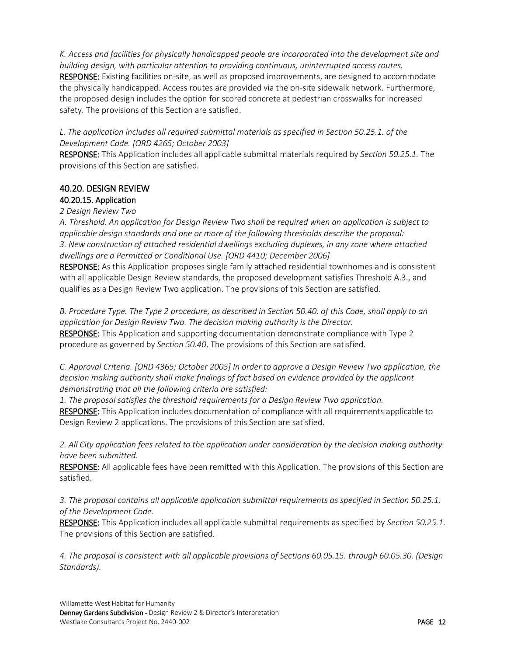*K. Access and facilities for physically handicapped people are incorporated into the development site and building design, with particular attention to providing continuous, uninterrupted access routes.* RESPONSE: Existing facilities on-site, as well as proposed improvements, are designed to accommodate the physically handicapped. Access routes are provided via the on-site sidewalk network. Furthermore, the proposed design includes the option for scored concrete at pedestrian crosswalks for increased safety. The provisions of this Section are satisfied.

*L. The application includes all required submittal materials as specified in Section 50.25.1. of the Development Code. [ORD 4265; October 2003]*

RESPONSE: This Application includes all applicable submittal materials required by *Section 50.25.1.* The provisions of this Section are satisfied.

## <span id="page-11-0"></span>40.20. DESIGN REVIEW 40.20.15. Application

### <span id="page-11-1"></span>*2 Design Review Two*

*A. Threshold. An application for Design Review Two shall be required when an application is subject to applicable design standards and one or more of the following thresholds describe the proposal: 3. New construction of attached residential dwellings excluding duplexes, in any zone where attached dwellings are a Permitted or Conditional Use. [ORD 4410; December 2006]*

RESPONSE: As this Application proposes single family attached residential townhomes and is consistent with all applicable Design Review standards, the proposed development satisfies Threshold A.3., and qualifies as a Design Review Two application. The provisions of this Section are satisfied.

*B. Procedure Type. The Type 2 procedure, as described in Section 50.40. of this Code, shall apply to an application for Design Review Two. The decision making authority is the Director.* RESPONSE: This Application and supporting documentation demonstrate compliance with Type 2 procedure as governed by *Section 50.40*. The provisions of this Section are satisfied.

*C. Approval Criteria. [ORD 4365; October 2005] In order to approve a Design Review Two application, the decision making authority shall make findings of fact based on evidence provided by the applicant demonstrating that all the following criteria are satisfied:* 

*1. The proposal satisfies the threshold requirements for a Design Review Two application.* 

RESPONSE: This Application includes documentation of compliance with all requirements applicable to Design Review 2 applications. The provisions of this Section are satisfied.

*2. All City application fees related to the application under consideration by the decision making authority have been submitted.* 

RESPONSE: All applicable fees have been remitted with this Application. The provisions of this Section are satisfied.

*3. The proposal contains all applicable application submittal requirements as specified in Section 50.25.1. of the Development Code.* 

RESPONSE: This Application includes all applicable submittal requirements as specified by *Section 50.25.1*. The provisions of this Section are satisfied.

*4. The proposal is consistent with all applicable provisions of Sections 60.05.15. through 60.05.30. (Design Standards).*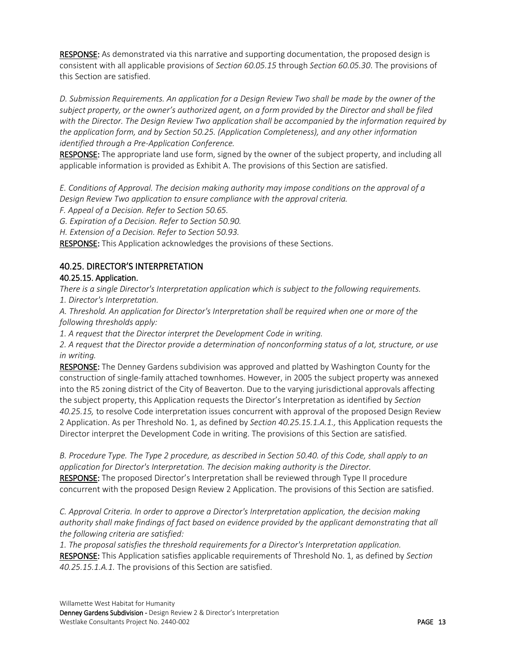RESPONSE: As demonstrated via this narrative and supporting documentation, the proposed design is consistent with all applicable provisions of *Section 60.05.15* through *Section 60.05.30*. The provisions of this Section are satisfied.

*D. Submission Requirements. An application for a Design Review Two shall be made by the owner of the subject property, or the owner's authorized agent, on a form provided by the Director and shall be filed with the Director. The Design Review Two application shall be accompanied by the information required by the application form, and by Section 50.25. (Application Completeness), and any other information identified through a Pre-Application Conference.*

RESPONSE: The appropriate land use form, signed by the owner of the subject property, and including all applicable information is provided as Exhibit A. The provisions of this Section are satisfied.

*E. Conditions of Approval. The decision making authority may impose conditions on the approval of a Design Review Two application to ensure compliance with the approval criteria.* 

*F. Appeal of a Decision. Refer to Section 50.65.* 

*G. Expiration of a Decision. Refer to Section 50.90.* 

*H. Extension of a Decision. Refer to Section 50.93.*

RESPONSE: This Application acknowledges the provisions of these Sections.

# <span id="page-12-0"></span>40.25. DIRECTOR'S INTERPRETATION

# <span id="page-12-1"></span>40.25.15. Application.

*There is a single Director's Interpretation application which is subject to the following requirements. 1. Director's Interpretation.*

*A. Threshold. An application for Director's Interpretation shall be required when one or more of the following thresholds apply:*

*1. A request that the Director interpret the Development Code in writing.*

*2. A request that the Director provide a determination of nonconforming status of a lot, structure, or use in writing.*

RESPONSE: The Denney Gardens subdivision was approved and platted by Washington County for the construction of single-family attached townhomes. However, in 2005 the subject property was annexed into the R5 zoning district of the City of Beaverton. Due to the varying jurisdictional approvals affecting the subject property, this Application requests the Director's Interpretation as identified by *Section 40.25.15,* to resolve Code interpretation issues concurrent with approval of the proposed Design Review 2 Application. As per Threshold No. 1, as defined by *Section 40.25.15.1.A.1.,* this Application requests the Director interpret the Development Code in writing. The provisions of this Section are satisfied.

*B. Procedure Type. The Type 2 procedure, as described in Section 50.40. of this Code, shall apply to an application for Director's Interpretation. The decision making authority is the Director.* RESPONSE: The proposed Director's Interpretation shall be reviewed through Type II procedure concurrent with the proposed Design Review 2 Application. The provisions of this Section are satisfied.

*C. Approval Criteria. In order to approve a Director's Interpretation application, the decision making authority shall make findings of fact based on evidence provided by the applicant demonstrating that all the following criteria are satisfied:*

*1. The proposal satisfies the threshold requirements for a Director's Interpretation application.* RESPONSE: This Application satisfies applicable requirements of Threshold No. 1, as defined by *Section 40.25.15.1.A.1.* The provisions of this Section are satisfied.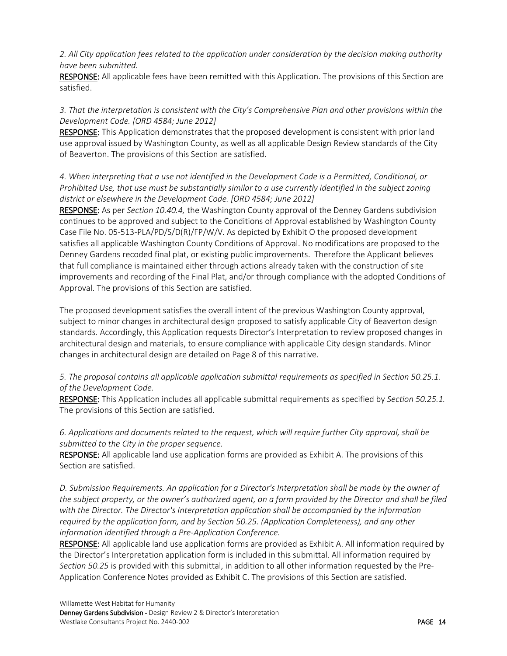*2. All City application fees related to the application under consideration by the decision making authority have been submitted.*

RESPONSE: All applicable fees have been remitted with this Application. The provisions of this Section are satisfied.

## *3. That the interpretation is consistent with the City's Comprehensive Plan and other provisions within the Development Code. [ORD 4584; June 2012]*

RESPONSE: This Application demonstrates that the proposed development is consistent with prior land use approval issued by Washington County, as well as all applicable Design Review standards of the City of Beaverton. The provisions of this Section are satisfied.

# *4. When interpreting that a use not identified in the Development Code is a Permitted, Conditional, or Prohibited Use, that use must be substantially similar to a use currently identified in the subject zoning district or elsewhere in the Development Code. [ORD 4584; June 2012]*

RESPONSE: As per *Section 10.40.4,* the Washington County approval of the Denney Gardens subdivision continues to be approved and subject to the Conditions of Approval established by Washington County Case File No. 05-513-PLA/PD/S/D(R)/FP/W/V. As depicted by Exhibit O the proposed development satisfies all applicable Washington County Conditions of Approval. No modifications are proposed to the Denney Gardens recoded final plat, or existing public improvements. Therefore the Applicant believes that full compliance is maintained either through actions already taken with the construction of site improvements and recording of the Final Plat, and/or through compliance with the adopted Conditions of Approval. The provisions of this Section are satisfied.

The proposed development satisfies the overall intent of the previous Washington County approval, subject to minor changes in architectural design proposed to satisfy applicable City of Beaverton design standards. Accordingly, this Application requests Director's Interpretation to review proposed changes in architectural design and materials, to ensure compliance with applicable City design standards. Minor changes in architectural design are detailed on Page 8 of this narrative.

# *5. The proposal contains all applicable application submittal requirements as specified in Section 50.25.1. of the Development Code.*

RESPONSE: This Application includes all applicable submittal requirements as specified by *Section 50.25.1.*  The provisions of this Section are satisfied.

# *6. Applications and documents related to the request, which will require further City approval, shall be submitted to the City in the proper sequence.*

RESPONSE: All applicable land use application forms are provided as Exhibit A. The provisions of this Section are satisfied.

*D. Submission Requirements. An application for a Director's Interpretation shall be made by the owner of the subject property, or the owner's authorized agent, on a form provided by the Director and shall be filed with the Director. The Director's Interpretation application shall be accompanied by the information required by the application form, and by Section 50.25. (Application Completeness), and any other information identified through a Pre-Application Conference.*

RESPONSE: All applicable land use application forms are provided as Exhibit A. All information required by the Director's Interpretation application form is included in this submittal. All information required by *Section 50.25* is provided with this submittal, in addition to all other information requested by the Pre-Application Conference Notes provided as Exhibit C. The provisions of this Section are satisfied.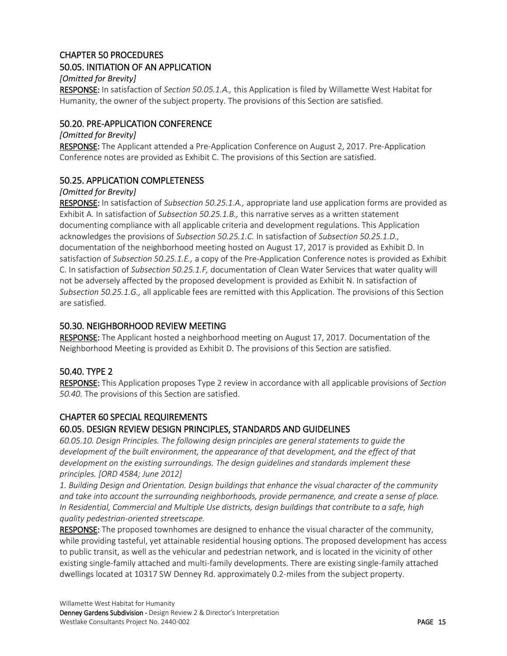## <span id="page-14-1"></span><span id="page-14-0"></span>CHAPTER 50 PROCEDURES 50.05. INITIATION OF AN APPLICATION

## *[Omitted for Brevity]*

RESPONSE: In satisfaction of *Section 50.05.1.A.,* this Application is filed by Willamette West Habitat for Humanity, the owner of the subject property. The provisions of this Section are satisfied.

# <span id="page-14-2"></span>50.20. PRE-APPLICATION CONFERENCE

#### *[Omitted for Brevity]*

RESPONSE: The Applicant attended a Pre-Application Conference on August 2, 2017. Pre-Application Conference notes are provided as Exhibit C. The provisions of this Section are satisfied.

### <span id="page-14-3"></span>50.25. APPLICATION COMPLETENESS

### *[Omitted for Brevity]*

RESPONSE: In satisfaction of *Subsection 50.25.1.A.,* appropriate land use application forms are provided as Exhibit A. In satisfaction of *Subsection 50.25.1.B.,* this narrative serves as a written statement documenting compliance with all applicable criteria and development regulations. This Application acknowledges the provisions of *Subsection 50.25.1.C.* In satisfaction of *Subsection 50.25.1.D.,*  documentation of the neighborhood meeting hosted on August 17, 2017 is provided as Exhibit D. In satisfaction of *Subsection 50.25.1.E.,* a copy of the Pre-Application Conference notes is provided as Exhibit C. In satisfaction of *Subsection 50.25.1.F,* documentation of Clean Water Services that water quality will not be adversely affected by the proposed development is provided as Exhibit N. In satisfaction of *Subsection 50.25.1.G.,* all applicable fees are remitted with this Application. The provisions of this Section are satisfied.

# <span id="page-14-4"></span>50.30. NEIGHBORHOOD REVIEW MEETING

RESPONSE: The Applicant hosted a neighborhood meeting on August 17, 2017. Documentation of the Neighborhood Meeting is provided as Exhibit D. The provisions of this Section are satisfied.

# <span id="page-14-5"></span>50.40. TYPE 2

RESPONSE: This Application proposes Type 2 review in accordance with all applicable provisions of *Section 50.40.* The provisions of this Section are satisfied.

# <span id="page-14-6"></span>CHAPTER 60 SPECIAL REQUIREMENTS

# <span id="page-14-7"></span>60.05. DESIGN REVIEW DESIGN PRINCIPLES, STANDARDS AND GUIDELINES

*60.05.10. Design Principles. The following design principles are general statements to guide the development of the built environment, the appearance of that development, and the effect of that development on the existing surroundings. The design guidelines and standards implement these principles. [ORD 4584; June 2012]* 

*1. Building Design and Orientation. Design buildings that enhance the visual character of the community and take into account the surrounding neighborhoods, provide permanence, and create a sense of place. In Residential, Commercial and Multiple Use districts, design buildings that contribute to a safe, high quality pedestrian-oriented streetscape.* 

RESPONSE: The proposed townhomes are designed to enhance the visual character of the community, while providing tasteful, yet attainable residential housing options. The proposed development has access to public transit, as well as the vehicular and pedestrian network, and is located in the vicinity of other existing single-family attached and multi-family developments. There are existing single-family attached dwellings located at 10317 SW Denney Rd. approximately 0.2-miles from the subject property.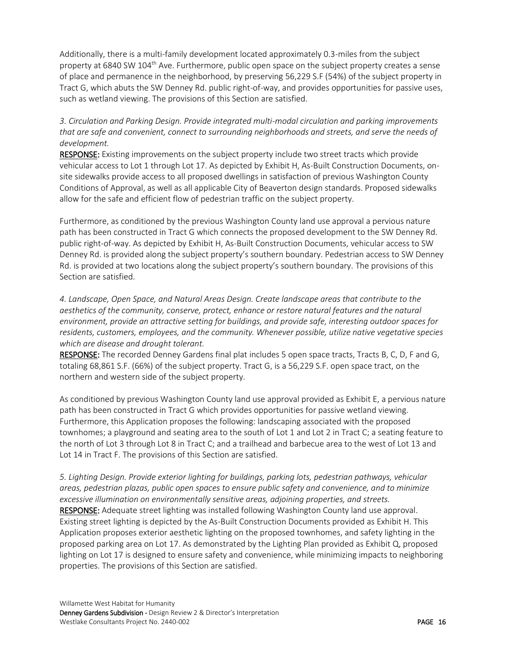Additionally, there is a multi-family development located approximately 0.3-miles from the subject property at 6840 SW 104<sup>th</sup> Ave. Furthermore, public open space on the subject property creates a sense of place and permanence in the neighborhood, by preserving 56,229 S.F (54%) of the subject property in Tract G, which abuts the SW Denney Rd. public right-of-way, and provides opportunities for passive uses, such as wetland viewing. The provisions of this Section are satisfied.

*3. Circulation and Parking Design. Provide integrated multi-modal circulation and parking improvements that are safe and convenient, connect to surrounding neighborhoods and streets, and serve the needs of development.* 

RESPONSE: Existing improvements on the subject property include two street tracts which provide vehicular access to Lot 1 through Lot 17. As depicted by Exhibit H, As-Built Construction Documents, onsite sidewalks provide access to all proposed dwellings in satisfaction of previous Washington County Conditions of Approval, as well as all applicable City of Beaverton design standards. Proposed sidewalks allow for the safe and efficient flow of pedestrian traffic on the subject property.

Furthermore, as conditioned by the previous Washington County land use approval a pervious nature path has been constructed in Tract G which connects the proposed development to the SW Denney Rd. public right-of-way. As depicted by Exhibit H, As-Built Construction Documents, vehicular access to SW Denney Rd. is provided along the subject property's southern boundary. Pedestrian access to SW Denney Rd. is provided at two locations along the subject property's southern boundary. The provisions of this Section are satisfied.

*4. Landscape, Open Space, and Natural Areas Design. Create landscape areas that contribute to the aesthetics of the community, conserve, protect, enhance or restore natural features and the natural environment, provide an attractive setting for buildings, and provide safe, interesting outdoor spaces for residents, customers, employees, and the community. Whenever possible, utilize native vegetative species which are disease and drought tolerant.*

RESPONSE: The recorded Denney Gardens final plat includes 5 open space tracts, Tracts B, C, D, F and G, totaling 68,861 S.F. (66%) of the subject property. Tract G, is a 56,229 S.F. open space tract, on the northern and western side of the subject property.

As conditioned by previous Washington County land use approval provided as Exhibit E, a pervious nature path has been constructed in Tract G which provides opportunities for passive wetland viewing. Furthermore, this Application proposes the following: landscaping associated with the proposed townhomes; a playground and seating area to the south of Lot 1 and Lot 2 in Tract C; a seating feature to the north of Lot 3 through Lot 8 in Tract C; and a trailhead and barbecue area to the west of Lot 13 and Lot 14 in Tract F. The provisions of this Section are satisfied.

# *5. Lighting Design. Provide exterior lighting for buildings, parking lots, pedestrian pathways, vehicular areas, pedestrian plazas, public open spaces to ensure public safety and convenience, and to minimize excessive illumination on environmentally sensitive areas, adjoining properties, and streets.*

RESPONSE: Adequate street lighting was installed following Washington County land use approval. Existing street lighting is depicted by the As-Built Construction Documents provided as Exhibit H. This Application proposes exterior aesthetic lighting on the proposed townhomes, and safety lighting in the proposed parking area on Lot 17. As demonstrated by the Lighting Plan provided as Exhibit Q, proposed lighting on Lot 17 is designed to ensure safety and convenience, while minimizing impacts to neighboring properties. The provisions of this Section are satisfied.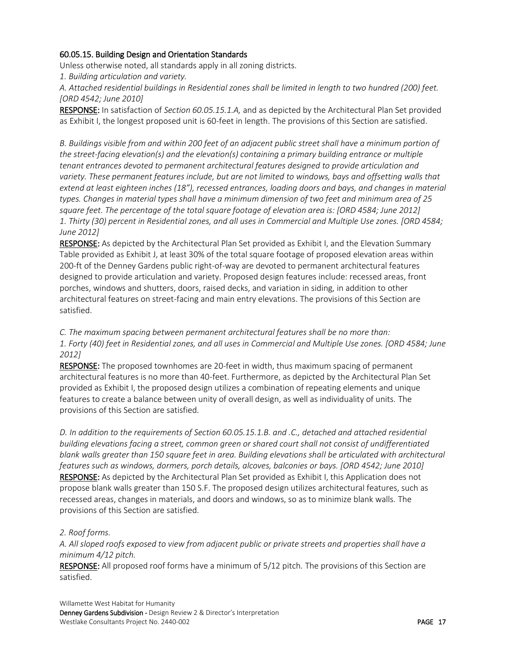## <span id="page-16-0"></span>60.05.15. Building Design and Orientation Standards

Unless otherwise noted, all standards apply in all zoning districts.

*1. Building articulation and variety.* 

*A. Attached residential buildings in Residential zones shall be limited in length to two hundred (200) feet. [ORD 4542; June 2010]* 

RESPONSE: In satisfaction of *Section 60.05.15.1.A,* and as depicted by the Architectural Plan Set provided as Exhibit I, the longest proposed unit is 60-feet in length. The provisions of this Section are satisfied.

*B. Buildings visible from and within 200 feet of an adjacent public street shall have a minimum portion of the street-facing elevation(s) and the elevation(s) containing a primary building entrance or multiple tenant entrances devoted to permanent architectural features designed to provide articulation and variety. These permanent features include, but are not limited to windows, bays and offsetting walls that extend at least eighteen inches (18"), recessed entrances, loading doors and bays, and changes in material types. Changes in material types shall have a minimum dimension of two feet and minimum area of 25 square feet. The percentage of the total square footage of elevation area is: [ORD 4584; June 2012] 1. Thirty (30) percent in Residential zones, and all uses in Commercial and Multiple Use zones. [ORD 4584; June 2012]* 

RESPONSE: As depicted by the Architectural Plan Set provided as Exhibit I, and the Elevation Summary Table provided as Exhibit J, at least 30% of the total square footage of proposed elevation areas within 200-ft of the Denney Gardens public right-of-way are devoted to permanent architectural features designed to provide articulation and variety. Proposed design features include: recessed areas, front porches, windows and shutters, doors, raised decks, and variation in siding, in addition to other architectural features on street-facing and main entry elevations. The provisions of this Section are satisfied.

# *C. The maximum spacing between permanent architectural features shall be no more than: 1. Forty (40) feet in Residential zones, and all uses in Commercial and Multiple Use zones. [ORD 4584; June 2012]*

RESPONSE: The proposed townhomes are 20-feet in width, thus maximum spacing of permanent architectural features is no more than 40-feet. Furthermore, as depicted by the Architectural Plan Set provided as Exhibit I, the proposed design utilizes a combination of repeating elements and unique features to create a balance between unity of overall design, as well as individuality of units. The provisions of this Section are satisfied.

*D. In addition to the requirements of Section 60.05.15.1.B. and .C., detached and attached residential building elevations facing a street, common green or shared court shall not consist of undifferentiated blank walls greater than 150 square feet in area. Building elevations shall be articulated with architectural features such as windows, dormers, porch details, alcoves, balconies or bays. [ORD 4542; June 2010]*  RESPONSE: As depicted by the Architectural Plan Set provided as Exhibit I, this Application does not propose blank walls greater than 150 S.F. The proposed design utilizes architectural features, such as recessed areas, changes in materials, and doors and windows, so as to minimize blank walls. The provisions of this Section are satisfied.

# *2. Roof forms.*

*A. All sloped roofs exposed to view from adjacent public or private streets and properties shall have a minimum 4/12 pitch.* 

RESPONSE: All proposed roof forms have a minimum of 5/12 pitch. The provisions of this Section are satisfied.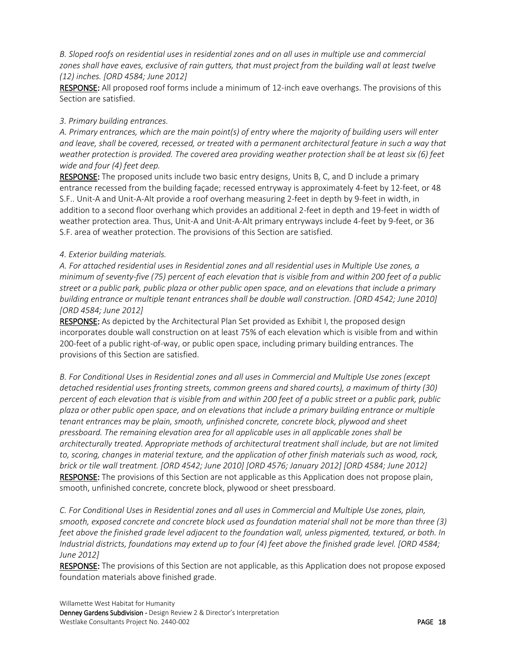*B. Sloped roofs on residential uses in residential zones and on all uses in multiple use and commercial zones shall have eaves, exclusive of rain gutters, that must project from the building wall at least twelve (12) inches. [ORD 4584; June 2012]* 

RESPONSE: All proposed roof forms include a minimum of 12-inch eave overhangs. The provisions of this Section are satisfied.

### *3. Primary building entrances.*

*A. Primary entrances, which are the main point(s) of entry where the majority of building users will enter and leave, shall be covered, recessed, or treated with a permanent architectural feature in such a way that weather protection is provided. The covered area providing weather protection shall be at least six (6) feet wide and four (4) feet deep.* 

RESPONSE: The proposed units include two basic entry designs, Units B, C, and D include a primary entrance recessed from the building façade; recessed entryway is approximately 4-feet by 12-feet, or 48 S.F.. Unit-A and Unit-A-Alt provide a roof overhang measuring 2-feet in depth by 9-feet in width, in addition to a second floor overhang which provides an additional 2-feet in depth and 19-feet in width of weather protection area. Thus, Unit-A and Unit-A-Alt primary entryways include 4-feet by 9-feet, or 36 S.F. area of weather protection. The provisions of this Section are satisfied.

### *4. Exterior building materials.*

*A. For attached residential uses in Residential zones and all residential uses in Multiple Use zones, a minimum of seventy-five (75) percent of each elevation that is visible from and within 200 feet of a public street or a public park, public plaza or other public open space, and on elevations that include a primary building entrance or multiple tenant entrances shall be double wall construction. [ORD 4542; June 2010] [ORD 4584; June 2012]* 

RESPONSE: As depicted by the Architectural Plan Set provided as Exhibit I, the proposed design incorporates double wall construction on at least 75% of each elevation which is visible from and within 200-feet of a public right-of-way, or public open space, including primary building entrances. The provisions of this Section are satisfied.

*B. For Conditional Uses in Residential zones and all uses in Commercial and Multiple Use zones (except detached residential uses fronting streets, common greens and shared courts), a maximum of thirty (30) percent of each elevation that is visible from and within 200 feet of a public street or a public park, public plaza or other public open space, and on elevations that include a primary building entrance or multiple tenant entrances may be plain, smooth, unfinished concrete, concrete block, plywood and sheet pressboard. The remaining elevation area for all applicable uses in all applicable zones shall be architecturally treated. Appropriate methods of architectural treatment shall include, but are not limited to, scoring, changes in material texture, and the application of other finish materials such as wood, rock, brick or tile wall treatment. [ORD 4542; June 2010] [ORD 4576; January 2012] [ORD 4584; June 2012]* RESPONSE: The provisions of this Section are not applicable as this Application does not propose plain, smooth, unfinished concrete, concrete block, plywood or sheet pressboard.

*C. For Conditional Uses in Residential zones and all uses in Commercial and Multiple Use zones, plain, smooth, exposed concrete and concrete block used as foundation material shall not be more than three (3) feet above the finished grade level adjacent to the foundation wall, unless pigmented, textured, or both. In Industrial districts, foundations may extend up to four (4) feet above the finished grade level. [ORD 4584; June 2012]*

RESPONSE: The provisions of this Section are not applicable, as this Application does not propose exposed foundation materials above finished grade.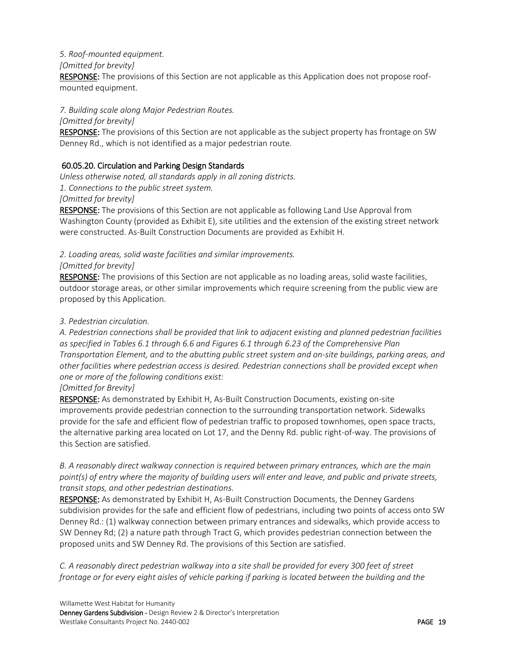### *5. Roof-mounted equipment.*

*[Omitted for brevity]* 

RESPONSE: The provisions of this Section are not applicable as this Application does not propose roofmounted equipment.

## *7. Building scale along Major Pedestrian Routes.*

*[Omitted for brevity]* 

RESPONSE: The provisions of this Section are not applicable as the subject property has frontage on SW Denney Rd., which is not identified as a major pedestrian route.

# <span id="page-18-0"></span>60.05.20. Circulation and Parking Design Standards

*Unless otherwise noted, all standards apply in all zoning districts. 1. Connections to the public street system. [Omitted for brevity]* 

RESPONSE: The provisions of this Section are not applicable as following Land Use Approval from Washington County (provided as Exhibit E), site utilities and the extension of the existing street network were constructed. As-Built Construction Documents are provided as Exhibit H.

# *2. Loading areas, solid waste facilities and similar improvements.*

### *[Omitted for brevity]*

RESPONSE: The provisions of this Section are not applicable as no loading areas, solid waste facilities, outdoor storage areas, or other similar improvements which require screening from the public view are proposed by this Application.

### *3. Pedestrian circulation.*

*A. Pedestrian connections shall be provided that link to adjacent existing and planned pedestrian facilities as specified in Tables 6.1 through 6.6 and Figures 6.1 through 6.23 of the Comprehensive Plan Transportation Element, and to the abutting public street system and on-site buildings, parking areas, and other facilities where pedestrian access is desired. Pedestrian connections shall be provided except when one or more of the following conditions exist:* 

#### *[Omitted for Brevity]*

RESPONSE: As demonstrated by Exhibit H, As-Built Construction Documents, existing on-site improvements provide pedestrian connection to the surrounding transportation network. Sidewalks provide for the safe and efficient flow of pedestrian traffic to proposed townhomes, open space tracts, the alternative parking area located on Lot 17, and the Denny Rd. public right-of-way. The provisions of this Section are satisfied.

## *B. A reasonably direct walkway connection is required between primary entrances, which are the main point(s) of entry where the majority of building users will enter and leave, and public and private streets, transit stops, and other pedestrian destinations.*

RESPONSE: As demonstrated by Exhibit H, As-Built Construction Documents, the Denney Gardens subdivision provides for the safe and efficient flow of pedestrians, including two points of access onto SW Denney Rd.: (1) walkway connection between primary entrances and sidewalks, which provide access to SW Denney Rd; (2) a nature path through Tract G, which provides pedestrian connection between the proposed units and SW Denney Rd. The provisions of this Section are satisfied.

*C. A reasonably direct pedestrian walkway into a site shall be provided for every 300 feet of street frontage or for every eight aisles of vehicle parking if parking is located between the building and the*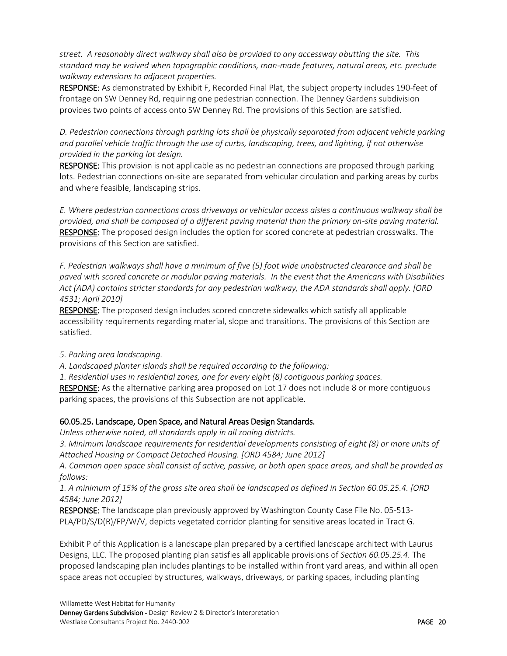*street. A reasonably direct walkway shall also be provided to any accessway abutting the site. This standard may be waived when topographic conditions, man-made features, natural areas, etc. preclude walkway extensions to adjacent properties.* 

RESPONSE: As demonstrated by Exhibit F, Recorded Final Plat, the subject property includes 190-feet of frontage on SW Denney Rd, requiring one pedestrian connection. The Denney Gardens subdivision provides two points of access onto SW Denney Rd. The provisions of this Section are satisfied.

*D. Pedestrian connections through parking lots shall be physically separated from adjacent vehicle parking and parallel vehicle traffic through the use of curbs, landscaping, trees, and lighting, if not otherwise provided in the parking lot design.* 

RESPONSE: This provision is not applicable as no pedestrian connections are proposed through parking lots. Pedestrian connections on-site are separated from vehicular circulation and parking areas by curbs and where feasible, landscaping strips.

*E. Where pedestrian connections cross driveways or vehicular access aisles a continuous walkway shall be provided, and shall be composed of a different paving material than the primary on-site paving material.*  RESPONSE: The proposed design includes the option for scored concrete at pedestrian crosswalks. The provisions of this Section are satisfied.

*F. Pedestrian walkways shall have a minimum of five (5) foot wide unobstructed clearance and shall be paved with scored concrete or modular paving materials. In the event that the Americans with Disabilities Act (ADA) contains stricter standards for any pedestrian walkway, the ADA standards shall apply. [ORD 4531; April 2010]*

RESPONSE: The proposed design includes scored concrete sidewalks which satisfy all applicable accessibility requirements regarding material, slope and transitions. The provisions of this Section are satisfied.

#### *5. Parking area landscaping.*

*A. Landscaped planter islands shall be required according to the following:* 

*1. Residential uses in residential zones, one for every eight (8) contiguous parking spaces.* 

RESPONSE: As the alternative parking area proposed on Lot 17 does not include 8 or more contiguous parking spaces, the provisions of this Subsection are not applicable.

# <span id="page-19-0"></span>60.05.25. Landscape, Open Space, and Natural Areas Design Standards.

*Unless otherwise noted, all standards apply in all zoning districts.* 

*3. Minimum landscape requirements for residential developments consisting of eight (8) or more units of Attached Housing or Compact Detached Housing. [ORD 4584; June 2012]* 

*A. Common open space shall consist of active, passive, or both open space areas, and shall be provided as follows:* 

*1. A minimum of 15% of the gross site area shall be landscaped as defined in Section 60.05.25.4. [ORD 4584; June 2012]* 

RESPONSE: The landscape plan previously approved by Washington County Case File No. 05-513- PLA/PD/S/D(R)/FP/W/V, depicts vegetated corridor planting for sensitive areas located in Tract G.

Exhibit P of this Application is a landscape plan prepared by a certified landscape architect with Laurus Designs, LLC. The proposed planting plan satisfies all applicable provisions of *Section 60.05.25.4.* The proposed landscaping plan includes plantings to be installed within front yard areas, and within all open space areas not occupied by structures, walkways, driveways, or parking spaces, including planting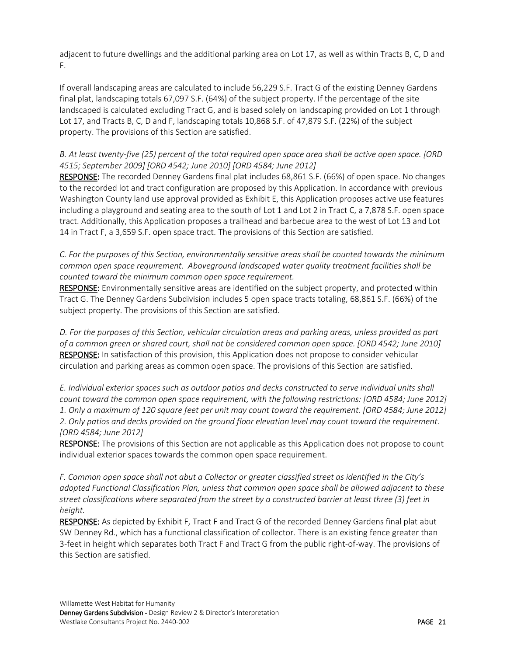adjacent to future dwellings and the additional parking area on Lot 17, as well as within Tracts B, C, D and F.

If overall landscaping areas are calculated to include 56,229 S.F. Tract G of the existing Denney Gardens final plat, landscaping totals 67,097 S.F. (64%) of the subject property. If the percentage of the site landscaped is calculated excluding Tract G, and is based solely on landscaping provided on Lot 1 through Lot 17, and Tracts B, C, D and F, landscaping totals 10,868 S.F. of 47,879 S.F. (22%) of the subject property. The provisions of this Section are satisfied.

# *B. At least twenty-five (25) percent of the total required open space area shall be active open space. [ORD 4515; September 2009] [ORD 4542; June 2010] [ORD 4584; June 2012]*

RESPONSE: The recorded Denney Gardens final plat includes 68,861 S.F. (66%) of open space. No changes to the recorded lot and tract configuration are proposed by this Application. In accordance with previous Washington County land use approval provided as Exhibit E, this Application proposes active use features including a playground and seating area to the south of Lot 1 and Lot 2 in Tract C, a 7,878 S.F. open space tract. Additionally, this Application proposes a trailhead and barbecue area to the west of Lot 13 and Lot 14 in Tract F, a 3,659 S.F. open space tract. The provisions of this Section are satisfied.

*C. For the purposes of this Section, environmentally sensitive areas shall be counted towards the minimum common open space requirement. Aboveground landscaped water quality treatment facilities shall be counted toward the minimum common open space requirement.* 

RESPONSE: Environmentally sensitive areas are identified on the subject property, and protected within Tract G. The Denney Gardens Subdivision includes 5 open space tracts totaling, 68,861 S.F. (66%) of the subject property. The provisions of this Section are satisfied.

*D. For the purposes of this Section, vehicular circulation areas and parking areas, unless provided as part of a common green or shared court, shall not be considered common open space. [ORD 4542; June 2010]*  RESPONSE: In satisfaction of this provision, this Application does not propose to consider vehicular circulation and parking areas as common open space. The provisions of this Section are satisfied.

*E. Individual exterior spaces such as outdoor patios and decks constructed to serve individual units shall count toward the common open space requirement, with the following restrictions: [ORD 4584; June 2012] 1. Only a maximum of 120 square feet per unit may count toward the requirement. [ORD 4584; June 2012] 2. Only patios and decks provided on the ground floor elevation level may count toward the requirement. [ORD 4584; June 2012]* 

RESPONSE: The provisions of this Section are not applicable as this Application does not propose to count individual exterior spaces towards the common open space requirement.

*F. Common open space shall not abut a Collector or greater classified street as identified in the City's adopted Functional Classification Plan, unless that common open space shall be allowed adjacent to these street classifications where separated from the street by a constructed barrier at least three (3) feet in height.* 

RESPONSE: As depicted by Exhibit F, Tract F and Tract G of the recorded Denney Gardens final plat abut SW Denney Rd., which has a functional classification of collector. There is an existing fence greater than 3-feet in height which separates both Tract F and Tract G from the public right-of-way. The provisions of this Section are satisfied.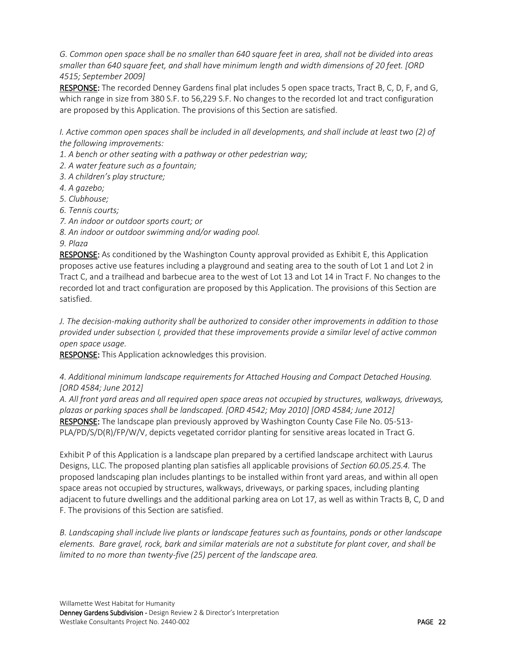*G. Common open space shall be no smaller than 640 square feet in area, shall not be divided into areas smaller than 640 square feet, and shall have minimum length and width dimensions of 20 feet. [ORD 4515; September 2009]* 

RESPONSE: The recorded Denney Gardens final plat includes 5 open space tracts, Tract B, C, D, F, and G, which range in size from 380 S.F. to 56,229 S.F. No changes to the recorded lot and tract configuration are proposed by this Application. The provisions of this Section are satisfied.

*I. Active common open spaces shall be included in all developments, and shall include at least two (2) of the following improvements:* 

- *1. A bench or other seating with a pathway or other pedestrian way;*
- *2. A water feature such as a fountain;*
- *3. A children's play structure;*
- *4. A gazebo;*
- *5. Clubhouse;*
- *6. Tennis courts;*
- *7. An indoor or outdoor sports court; or*
- *8. An indoor or outdoor swimming and/or wading pool.*

#### *9. Plaza*

RESPONSE: As conditioned by the Washington County approval provided as Exhibit E, this Application proposes active use features including a playground and seating area to the south of Lot 1 and Lot 2 in Tract C, and a trailhead and barbecue area to the west of Lot 13 and Lot 14 in Tract F. No changes to the recorded lot and tract configuration are proposed by this Application. The provisions of this Section are satisfied.

*J. The decision-making authority shall be authorized to consider other improvements in addition to those provided under subsection I, provided that these improvements provide a similar level of active common open space usage.* 

RESPONSE: This Application acknowledges this provision.

### *4. Additional minimum landscape requirements for Attached Housing and Compact Detached Housing. [ORD 4584; June 2012]*

*A. All front yard areas and all required open space areas not occupied by structures, walkways, driveways, plazas or parking spaces shall be landscaped. [ORD 4542; May 2010] [ORD 4584; June 2012]*  RESPONSE: The landscape plan previously approved by Washington County Case File No. 05-513- PLA/PD/S/D(R)/FP/W/V, depicts vegetated corridor planting for sensitive areas located in Tract G.

Exhibit P of this Application is a landscape plan prepared by a certified landscape architect with Laurus Designs, LLC. The proposed planting plan satisfies all applicable provisions of *Section 60.05.25.4.* The proposed landscaping plan includes plantings to be installed within front yard areas, and within all open space areas not occupied by structures, walkways, driveways, or parking spaces, including planting adjacent to future dwellings and the additional parking area on Lot 17, as well as within Tracts B, C, D and F. The provisions of this Section are satisfied.

*B. Landscaping shall include live plants or landscape features such as fountains, ponds or other landscape elements. Bare gravel, rock, bark and similar materials are not a substitute for plant cover, and shall be limited to no more than twenty-five (25) percent of the landscape area.*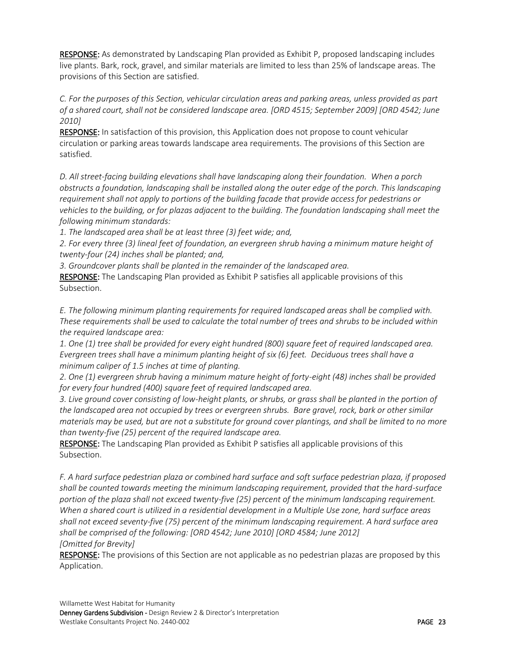RESPONSE: As demonstrated by Landscaping Plan provided as Exhibit P, proposed landscaping includes live plants. Bark, rock, gravel, and similar materials are limited to less than 25% of landscape areas. The provisions of this Section are satisfied.

*C. For the purposes of this Section, vehicular circulation areas and parking areas, unless provided as part of a shared court, shall not be considered landscape area. [ORD 4515; September 2009] [ORD 4542; June 2010]* 

RESPONSE: In satisfaction of this provision, this Application does not propose to count vehicular circulation or parking areas towards landscape area requirements. The provisions of this Section are satisfied.

*D. All street-facing building elevations shall have landscaping along their foundation. When a porch obstructs a foundation, landscaping shall be installed along the outer edge of the porch. This landscaping requirement shall not apply to portions of the building facade that provide access for pedestrians or vehicles to the building, or for plazas adjacent to the building. The foundation landscaping shall meet the following minimum standards:* 

*1. The landscaped area shall be at least three (3) feet wide; and,* 

*2. For every three (3) lineal feet of foundation, an evergreen shrub having a minimum mature height of twenty-four (24) inches shall be planted; and,* 

*3. Groundcover plants shall be planted in the remainder of the landscaped area.* 

RESPONSE: The Landscaping Plan provided as Exhibit P satisfies all applicable provisions of this Subsection.

*E. The following minimum planting requirements for required landscaped areas shall be complied with. These requirements shall be used to calculate the total number of trees and shrubs to be included within the required landscape area:*

*1. One (1) tree shall be provided for every eight hundred (800) square feet of required landscaped area. Evergreen trees shall have a minimum planting height of six (6) feet. Deciduous trees shall have a minimum caliper of 1.5 inches at time of planting.* 

*2. One (1) evergreen shrub having a minimum mature height of forty-eight (48) inches shall be provided for every four hundred (400) square feet of required landscaped area.* 

*3. Live ground cover consisting of low-height plants, or shrubs, or grass shall be planted in the portion of the landscaped area not occupied by trees or evergreen shrubs. Bare gravel, rock, bark or other similar materials may be used, but are not a substitute for ground cover plantings, and shall be limited to no more than twenty-five (25) percent of the required landscape area.* 

RESPONSE: The Landscaping Plan provided as Exhibit P satisfies all applicable provisions of this Subsection.

*F. A hard surface pedestrian plaza or combined hard surface and soft surface pedestrian plaza, if proposed shall be counted towards meeting the minimum landscaping requirement, provided that the hard-surface portion of the plaza shall not exceed twenty-five (25) percent of the minimum landscaping requirement. When a shared court is utilized in a residential development in a Multiple Use zone, hard surface areas shall not exceed seventy-five (75) percent of the minimum landscaping requirement. A hard surface area shall be comprised of the following: [ORD 4542; June 2010] [ORD 4584; June 2012] [Omitted for Brevity]* 

RESPONSE: The provisions of this Section are not applicable as no pedestrian plazas are proposed by this Application.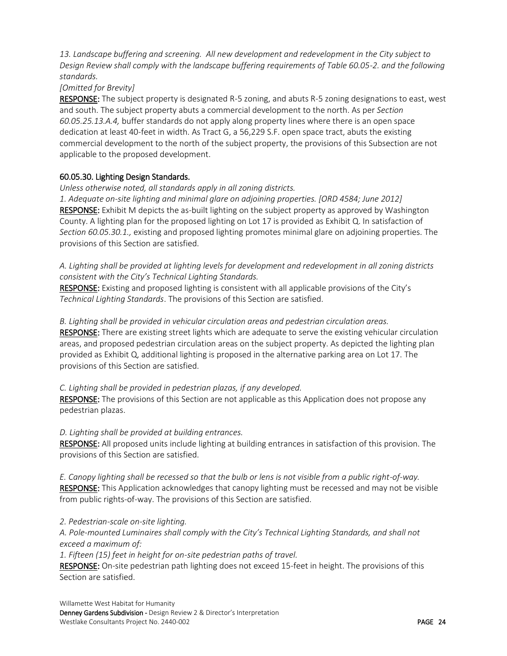*13. Landscape buffering and screening. All new development and redevelopment in the City subject to Design Review shall comply with the landscape buffering requirements of Table 60.05-2. and the following standards.*

#### *[Omitted for Brevity]*

RESPONSE: The subject property is designated R-5 zoning, and abuts R-5 zoning designations to east, west and south. The subject property abuts a commercial development to the north. As per *Section 60.05.25.13.A.4,* buffer standards do not apply along property lines where there is an open space dedication at least 40-feet in width. As Tract G, a 56,229 S.F. open space tract, abuts the existing commercial development to the north of the subject property, the provisions of this Subsection are not applicable to the proposed development.

### <span id="page-23-0"></span>60.05.30. Lighting Design Standards.

#### *Unless otherwise noted, all standards apply in all zoning districts.*

*1. Adequate on-site lighting and minimal glare on adjoining properties. [ORD 4584; June 2012]*  RESPONSE: Exhibit M depicts the as-built lighting on the subject property as approved by Washington County. A lighting plan for the proposed lighting on Lot 17 is provided as Exhibit Q. In satisfaction of *Section 60.05.30.1.,* existing and proposed lighting promotes minimal glare on adjoining properties. The provisions of this Section are satisfied.

*A. Lighting shall be provided at lighting levels for development and redevelopment in all zoning districts consistent with the City's Technical Lighting Standards.* 

RESPONSE: Existing and proposed lighting is consistent with all applicable provisions of the City's *Technical Lighting Standards*. The provisions of this Section are satisfied.

#### *B. Lighting shall be provided in vehicular circulation areas and pedestrian circulation areas.*

RESPONSE: There are existing street lights which are adequate to serve the existing vehicular circulation areas, and proposed pedestrian circulation areas on the subject property. As depicted the lighting plan provided as Exhibit Q, additional lighting is proposed in the alternative parking area on Lot 17. The provisions of this Section are satisfied.

#### *C. Lighting shall be provided in pedestrian plazas, if any developed.*

RESPONSE: The provisions of this Section are not applicable as this Application does not propose any pedestrian plazas.

#### *D. Lighting shall be provided at building entrances.*

RESPONSE: All proposed units include lighting at building entrances in satisfaction of this provision. The provisions of this Section are satisfied.

*E. Canopy lighting shall be recessed so that the bulb or lens is not visible from a public right-of-way.*  RESPONSE: This Application acknowledges that canopy lighting must be recessed and may not be visible from public rights-of-way. The provisions of this Section are satisfied.

#### *2. Pedestrian-scale on-site lighting.*

*A. Pole-mounted Luminaires shall comply with the City's Technical Lighting Standards, and shall not exceed a maximum of:* 

*1. Fifteen (15) feet in height for on-site pedestrian paths of travel.* 

RESPONSE: On-site pedestrian path lighting does not exceed 15-feet in height. The provisions of this Section are satisfied.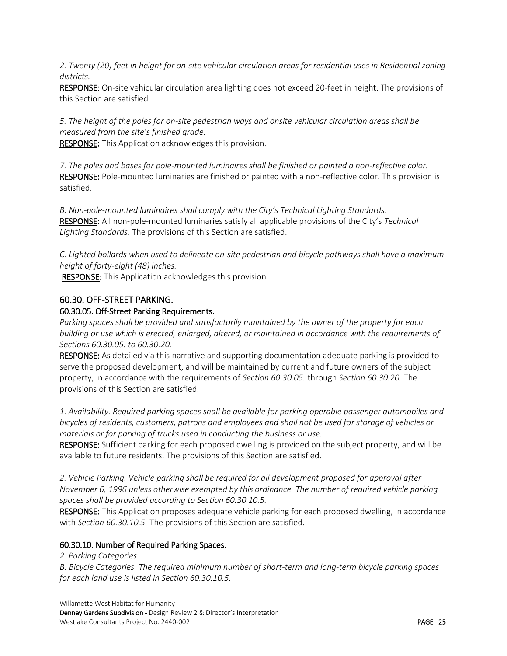*2. Twenty (20) feet in height for on-site vehicular circulation areas for residential uses in Residential zoning districts.* 

RESPONSE: On-site vehicular circulation area lighting does not exceed 20-feet in height. The provisions of this Section are satisfied.

*5. The height of the poles for on-site pedestrian ways and onsite vehicular circulation areas shall be measured from the site's finished grade.* 

RESPONSE: This Application acknowledges this provision.

*7. The poles and bases for pole-mounted luminaires shall be finished or painted a non-reflective color.*  RESPONSE: Pole-mounted luminaries are finished or painted with a non-reflective color. This provision is satisfied.

*B. Non-pole-mounted luminaires shall comply with the City's Technical Lighting Standards.*  RESPONSE: All non-pole-mounted luminaries satisfy all applicable provisions of the City's *Technical Lighting Standards.* The provisions of this Section are satisfied.

*C. Lighted bollards when used to delineate on-site pedestrian and bicycle pathways shall have a maximum height of forty-eight (48) inches.*

RESPONSE: This Application acknowledges this provision.

# <span id="page-24-0"></span>60.30. OFF-STREET PARKING.

### <span id="page-24-1"></span>60.30.05. Off-Street Parking Requirements.

*Parking spaces shall be provided and satisfactorily maintained by the owner of the property for each building or use which is erected, enlarged, altered, or maintained in accordance with the requirements of Sections 60.30.05. to 60.30.20.* 

RESPONSE: As detailed via this narrative and supporting documentation adequate parking is provided to serve the proposed development, and will be maintained by current and future owners of the subject property, in accordance with the requirements of *Section 60.30.05.* through *Section 60.30.20.* The provisions of this Section are satisfied.

*1. Availability. Required parking spaces shall be available for parking operable passenger automobiles and bicycles of residents, customers, patrons and employees and shall not be used for storage of vehicles or materials or for parking of trucks used in conducting the business or use.* 

RESPONSE: Sufficient parking for each proposed dwelling is provided on the subject property, and will be available to future residents. The provisions of this Section are satisfied.

*2. Vehicle Parking. Vehicle parking shall be required for all development proposed for approval after November 6, 1996 unless otherwise exempted by this ordinance. The number of required vehicle parking spaces shall be provided according to Section 60.30.10.5.* 

RESPONSE: This Application proposes adequate vehicle parking for each proposed dwelling, in accordance with *Section 60.30.10.5.* The provisions of this Section are satisfied.

# <span id="page-24-2"></span>60.30.10. Number of Required Parking Spaces.

*2. Parking Categories* 

*B. Bicycle Categories. The required minimum number of short-term and long-term bicycle parking spaces for each land use is listed in Section 60.30.10.5.*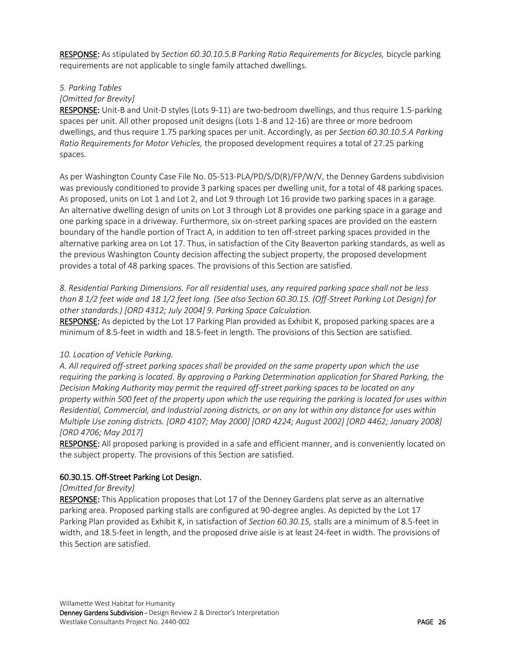RESPONSE: As stipulated by *Section 60.30.10.5.B Parking Ratio Requirements for Bicycles, bicycle parking* requirements are not applicable to single family attached dwellings.

#### *5. Parking Tables*

#### *[Omitted for Brevity]*

RESPONSE: Unit-B and Unit-D styles (Lots 9-11) are two-bedroom dwellings, and thus require 1.5-parking spaces per unit. All other proposed unit designs (Lots 1-8 and 12-16) are three or more bedroom dwellings, and thus require 1.75 parking spaces per unit. Accordingly, as per *Section 60.30.10.5.A Parking Ratio Requirements for Motor Vehicles,* the proposed development requires a total of 27.25 parking spaces.

As per Washington County Case File No. 05-513-PLA/PD/S/D(R)/FP/W/V, the Denney Gardens subdivision was previously conditioned to provide 3 parking spaces per dwelling unit, for a total of 48 parking spaces. As proposed, units on Lot 1 and Lot 2, and Lot 9 through Lot 16 provide two parking spaces in a garage. An alternative dwelling design of units on Lot 3 through Lot 8 provides one parking space in a garage and one parking space in a driveway. Furthermore, six on-street parking spaces are provided on the eastern boundary of the handle portion of Tract A, in addition to ten off-street parking spaces provided in the alternative parking area on Lot 17. Thus, in satisfaction of the City Beaverton parking standards, as well as the previous Washington County decision affecting the subject property, the proposed development provides a total of 48 parking spaces. The provisions of this Section are satisfied.

*8. Residential Parking Dimensions. For all residential uses, any required parking space shall not be less than 8 1/2 feet wide and 18 1/2 feet long. (See also Section 60.30.15. (Off-Street Parking Lot Design) for other standards.) [ORD 4312; July 2004] 9. Parking Space Calculation.* 

RESPONSE: As depicted by the Lot 17 Parking Plan provided as Exhibit K, proposed parking spaces are a minimum of 8.5-feet in width and 18.5-feet in length. The provisions of this Section are satisfied.

#### *10. Location of Vehicle Parking.*

*A. All required off-street parking spaces shall be provided on the same property upon which the use requiring the parking is located. By approving a Parking Determination application for Shared Parking, the Decision Making Authority may permit the required off-street parking spaces to be located on any property within 500 feet of the property upon which the use requiring the parking is located for uses within Residential, Commercial, and Industrial zoning districts, or on any lot within any distance for uses within Multiple Use zoning districts. [ORD 4107; May 2000] [ORD 4224; August 2002] [ORD 4462; January 2008] [ORD 4706; May 2017]* 

RESPONSE: All proposed parking is provided in a safe and efficient manner, and is conveniently located on the subject property. The provisions of this Section are satisfied.

#### <span id="page-25-0"></span>60.30.15. Off-Street Parking Lot Design.

#### *[Omitted for Brevity]*

RESPONSE: This Application proposes that Lot 17 of the Denney Gardens plat serve as an alternative parking area. Proposed parking stalls are configured at 90-degree angles. As depicted by the Lot 17 Parking Plan provided as Exhibit K, in satisfaction of *Section 60.30.15,* stalls are a minimum of 8.5-feet in width, and 18.5-feet in length, and the proposed drive aisle is at least 24-feet in width. The provisions of this Section are satisfied.